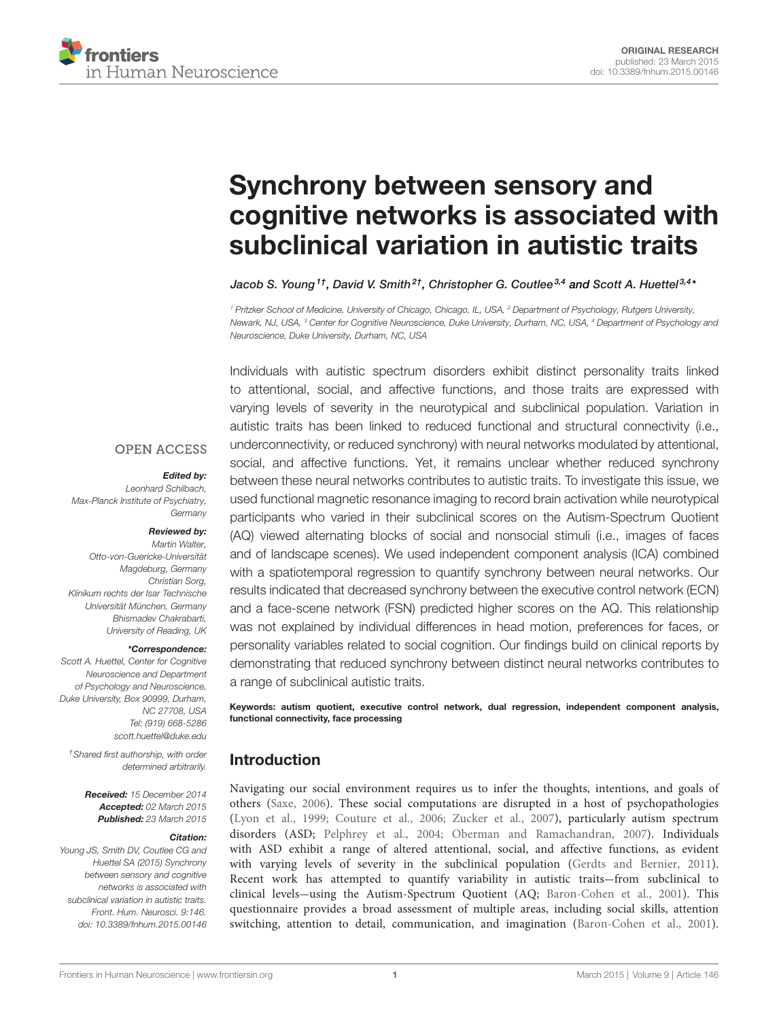

# [Synchrony between sensory and](http://www.frontiersin.org/Journal/10.3389/fnhum.2015.00146/abstract) [cognitive networks is associated with](http://www.frontiersin.org/Journal/10.3389/fnhum.2015.00146/abstract) [subclinical variation in autistic traits](http://www.frontiersin.org/Journal/10.3389/fnhum.2015.00146/abstract)

[Jacob S. Young](http://community.frontiersin.org/people/u/210529)<sup>1†</sup>, [David V. Smith](http://community.frontiersin.org/people/u/6125)<sup>2†</sup>, [Christopher G. Coutlee](http://community.frontiersin.org/people/u/217449)<sup>3,4</sup> and [Scott A. Huettel](http://community.frontiersin.org/people/u/411)<sup>3,4</sup>\*

<sup>1</sup> Pritzker School of Medicine, University of Chicago, Chicago, IL, USA, <sup>2</sup> Department of Psychology, Rutgers University, Newark, NJ, USA, <sup>3</sup> Center for Cognitive Neuroscience, Duke University, Durham, NC, USA, <sup>4</sup> Department of Psychology and Neuroscience, Duke University, Durham, NC, USA

Individuals with autistic spectrum disorders exhibit distinct personality traits linked to attentional, social, and affective functions, and those traits are expressed with varying levels of severity in the neurotypical and subclinical population. Variation in autistic traits has been linked to reduced functional and structural connectivity (i.e., underconnectivity, or reduced synchrony) with neural networks modulated by attentional, social, and affective functions. Yet, it remains unclear whether reduced synchrony between these neural networks contributes to autistic traits. To investigate this issue, we used functional magnetic resonance imaging to record brain activation while neurotypical participants who varied in their subclinical scores on the Autism-Spectrum Quotient (AQ) viewed alternating blocks of social and nonsocial stimuli (i.e., images of faces and of landscape scenes). We used independent component analysis (ICA) combined with a spatiotemporal regression to quantify synchrony between neural networks. Our results indicated that decreased synchrony between the executive control network (ECN) and a face-scene network (FSN) predicted higher scores on the AQ. This relationship was not explained by individual differences in head motion, preferences for faces, or personality variables related to social cognition. Our findings build on clinical reports by demonstrating that reduced synchrony between distinct neural networks contributes to a range of subclinical autistic traits.

Keywords: autism quotient, executive control network, dual regression, independent component analysis, functional connectivity, face processing

# Introduction

Navigating our social environment requires us to infer the thoughts, intentions, and goals of others [\(Saxe, 2006\)](#page-8-0). These social computations are disrupted in a host of psychopathologies [\(Lyon et al., 1999;](#page-8-1) [Couture et al., 2006;](#page-8-2) [Zucker et al., 2007\)](#page-9-0), particularly autism spectrum disorders (ASD; [Pelphrey et al., 2004;](#page-8-3) [Oberman and Ramachandran, 2007\)](#page-8-4). Individuals with ASD exhibit a range of altered attentional, social, and affective functions, as evident with varying levels of severity in the subclinical population [\(Gerdts and Bernier, 2011\)](#page-8-5). Recent work has attempted to quantify variability in autistic traits-from subclinical to clinical levels-using the Autism-Spectrum Quotient (AQ; [Baron-Cohen et al., 2001\)](#page-7-0). This questionnaire provides a broad assessment of multiple areas, including social skills, attention switching, attention to detail, communication, and imagination [\(Baron-Cohen et al., 2001\)](#page-7-0).

#### **OPEN ACCESS**

#### Edited by:

Leonhard Schilbach, Max-Planck Institute of Psychiatry, **Germany** 

#### Reviewed by:

Martin Walter, Otto-von-Guericke-Universität Magdeburg, Germany Christian Sorg, Klinikum rechts der Isar Technische Universität München, Germany Bhismadev Chakrabarti, University of Reading, UK

#### \*Correspondence:

Scott A. Huettel, Center for Cognitive Neuroscience and Department of Psychology and Neuroscience, Duke University, Box 90999, Durham, NC 27708, USA Tel: (919) 668-5286 [scott.huettel@duke.edu](mailto:scott.huettel@duke.edu)

†Shared first authorship, with order determined arbitrarily.

> Received: 15 December 2014 Accepted: 02 March 2015 Published: 23 March 2015

#### Citation:

Young JS, Smith DV, Coutlee CG and Huettel SA (2015) Synchrony between sensory and cognitive networks is associated with subclinical variation in autistic traits. Front. Hum. Neurosci. 9:146. [doi: 10.3389/fnhum.2015.00146](http://dx.doi.org/10.3389/fnhum.2015.00146)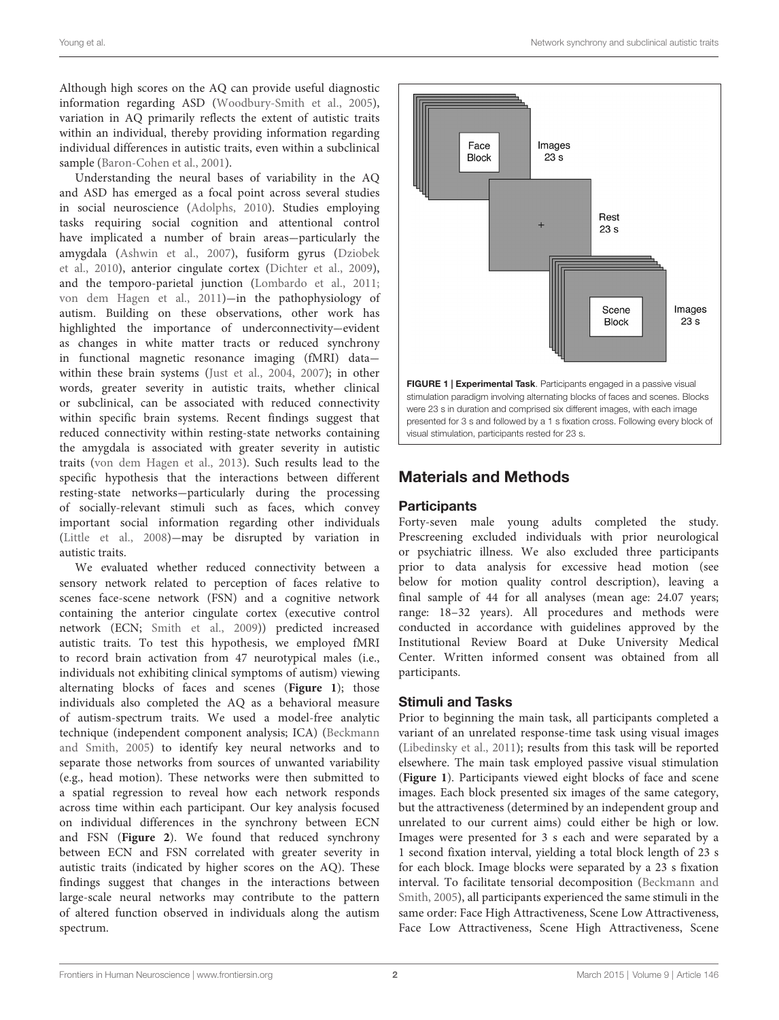Young et al. Network synchrony and subclinical autistic traits

Although high scores on the AQ can provide useful diagnostic information regarding ASD [\(Woodbury-Smith et al.,](#page-9-1) [2005\)](#page-9-1), variation in AQ primarily reflects the extent of autistic traits within an individual, thereby providing information regarding individual differences in autistic traits, even within a subclinical sample [\(Baron-Cohen et al.,](#page-7-0) [2001\)](#page-7-0).

Understanding the neural bases of variability in the AQ and ASD has emerged as a focal point across several studies in social neuroscience [\(Adolphs,](#page-7-1) [2010\)](#page-7-1). Studies employing tasks requiring social cognition and attentional control have implicated a number of brain areas--particularly the amygdala [\(Ashwin et al.,](#page-7-2) [2007\)](#page-7-2), fusiform gyrus [\(Dziobek](#page-8-6) [et al.,](#page-8-6) [2010\)](#page-8-6), anterior cingulate cortex [\(Dichter et al.,](#page-8-7) [2009\)](#page-8-7), and the temporo-parietal junction [\(Lombardo et al.,](#page-8-8) [2011;](#page-8-8) [von dem Hagen et al.,](#page-9-2) [2011\)](#page-9-2)-in the pathophysiology of autism. Building on these observations, other work has highlighted the importance of underconnectivity-evident as changes in white matter tracts or reduced synchrony in functional magnetic resonance imaging (fMRI) datawithin these brain systems [\(Just et al.,](#page-8-9) [2004,](#page-8-9) [2007\)](#page-8-10); in other words, greater severity in autistic traits, whether clinical or subclinical, can be associated with reduced connectivity within specific brain systems. Recent findings suggest that reduced connectivity within resting-state networks containing the amygdala is associated with greater severity in autistic traits [\(von dem Hagen et al.,](#page-9-3) [2013\)](#page-9-3). Such results lead to the specific hypothesis that the interactions between different resting-state networks--particularly during the processing of socially-relevant stimuli such as faces, which convey important social information regarding other individuals [\(Little et al.,](#page-8-11) [2008\)](#page-8-11)-may be disrupted by variation in autistic traits.

We evaluated whether reduced connectivity between a sensory network related to perception of faces relative to scenes face-scene network (FSN) and a cognitive network containing the anterior cingulate cortex (executive control network (ECN; [Smith et al.,](#page-8-12) [2009\)](#page-8-12)) predicted increased autistic traits. To test this hypothesis, we employed fMRI to record brain activation from 47 neurotypical males (i.e., individuals not exhibiting clinical symptoms of autism) viewing alternating blocks of faces and scenes (**[Figure 1](#page-1-0)**); those individuals also completed the AQ as a behavioral measure of autism-spectrum traits. We used a model-free analytic technique (independent component analysis; ICA) [\(Beckmann](#page-7-3) [and Smith,](#page-7-3) [2005\)](#page-7-3) to identify key neural networks and to separate those networks from sources of unwanted variability (e.g., head motion). These networks were then submitted to a spatial regression to reveal how each network responds across time within each participant. Our key analysis focused on individual differences in the synchrony between ECN and FSN (**[Figure 2](#page-2-0)**). We found that reduced synchrony between ECN and FSN correlated with greater severity in autistic traits (indicated by higher scores on the AQ). These findings suggest that changes in the interactions between large-scale neural networks may contribute to the pattern of altered function observed in individuals along the autism spectrum.



# <span id="page-1-0"></span>Materials and Methods

# **Participants**

Forty-seven male young adults completed the study. Prescreening excluded individuals with prior neurological or psychiatric illness. We also excluded three participants prior to data analysis for excessive head motion (see below for motion quality control description), leaving a final sample of 44 for all analyses (mean age: 24.07 years; range: 18-32 years). All procedures and methods were conducted in accordance with guidelines approved by the Institutional Review Board at Duke University Medical Center. Written informed consent was obtained from all participants.

## Stimuli and Tasks

Prior to beginning the main task, all participants completed a variant of an unrelated response-time task using visual images [\(Libedinsky et al.,](#page-8-13) [2011\)](#page-8-13); results from this task will be reported elsewhere. The main task employed passive visual stimulation (**[Figure 1](#page-1-0)**). Participants viewed eight blocks of face and scene images. Each block presented six images of the same category, but the attractiveness (determined by an independent group and unrelated to our current aims) could either be high or low. Images were presented for 3 s each and were separated by a 1 second fixation interval, yielding a total block length of 23 s for each block. Image blocks were separated by a 23 s fixation interval. To facilitate tensorial decomposition [\(Beckmann and](#page-7-3) [Smith,](#page-7-3) [2005\)](#page-7-3), all participants experienced the same stimuli in the same order: Face High Attractiveness, Scene Low Attractiveness, Face Low Attractiveness, Scene High Attractiveness, Scene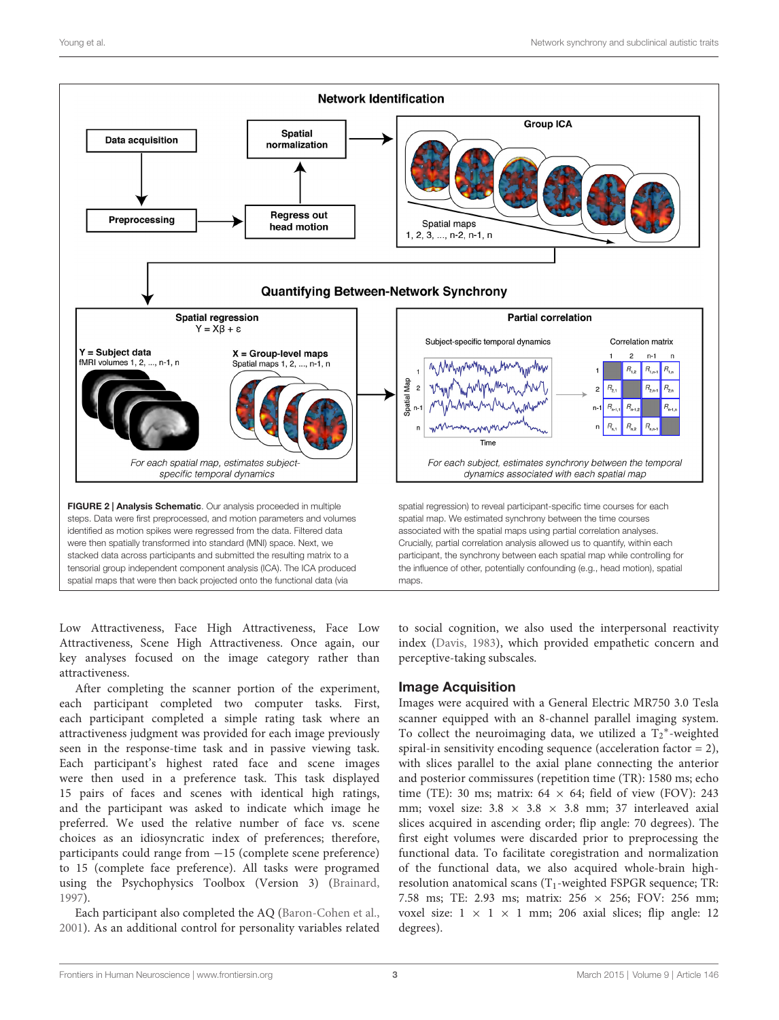

<span id="page-2-0"></span>Low Attractiveness, Face High Attractiveness, Face Low Attractiveness, Scene High Attractiveness. Once again, our key analyses focused on the image category rather than attractiveness.

After completing the scanner portion of the experiment, each participant completed two computer tasks. First, each participant completed a simple rating task where an attractiveness judgment was provided for each image previously seen in the response-time task and in passive viewing task. Each participant's highest rated face and scene images were then used in a preference task. This task displayed 15 pairs of faces and scenes with identical high ratings, and the participant was asked to indicate which image he preferred. We used the relative number of face vs. scene choices as an idiosyncratic index of preferences; therefore, participants could range from −15 (complete scene preference) to 15 (complete face preference). All tasks were programed using the Psychophysics Toolbox (Version 3) [\(Brainard,](#page-7-4) [1997\)](#page-7-4).

Each participant also completed the AQ [\(Baron-Cohen et al.,](#page-7-0) [2001\)](#page-7-0). As an additional control for personality variables related to social cognition, we also used the interpersonal reactivity index [\(Davis,](#page-8-14) [1983\)](#page-8-14), which provided empathetic concern and perceptive-taking subscales.

## Image Acquisition

Images were acquired with a General Electric MR750 3.0 Tesla scanner equipped with an 8-channel parallel imaging system. To collect the neuroimaging data, we utilized a  $T_2^*$ -weighted spiral-in sensitivity encoding sequence (acceleration factor = 2), with slices parallel to the axial plane connecting the anterior and posterior commissures (repetition time (TR): 1580 ms; echo time (TE): 30 ms; matrix:  $64 \times 64$ ; field of view (FOV): 243 mm; voxel size:  $3.8 \times 3.8 \times 3.8$  mm; 37 interleaved axial slices acquired in ascending order; flip angle: 70 degrees). The first eight volumes were discarded prior to preprocessing the functional data. To facilitate coregistration and normalization of the functional data, we also acquired whole-brain highresolution anatomical scans  $(T_1$ -weighted FSPGR sequence; TR: 7.58 ms; TE: 2.93 ms; matrix: 256 × 256; FOV: 256 mm; voxel size:  $1 \times 1 \times 1$  mm; 206 axial slices; flip angle: 12 degrees).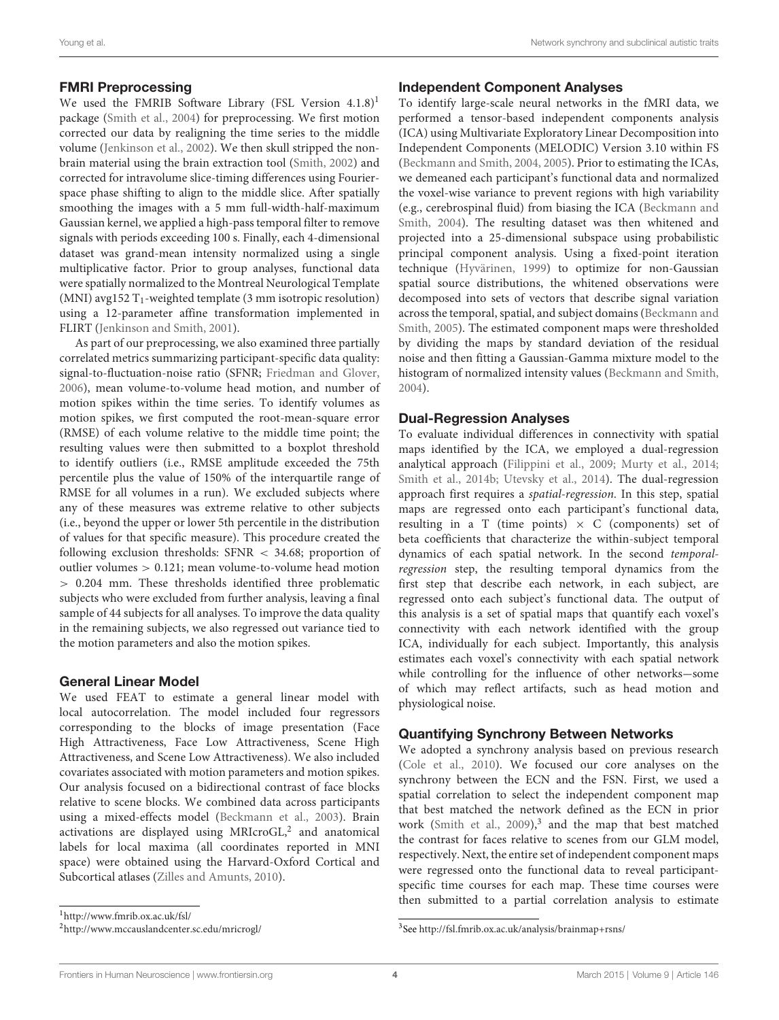#### FMRI Preprocessing

We used the FMRIB Software Library (FSL Version  $4.1.8$  $4.1.8$  $4.1.8$ )<sup>1</sup> package [\(Smith et al.,](#page-9-4) [2004\)](#page-9-4) for preprocessing. We first motion corrected our data by realigning the time series to the middle volume [\(Jenkinson et al.,](#page-8-15) [2002\)](#page-8-15). We then skull stripped the nonbrain material using the brain extraction tool [\(Smith,](#page-8-16) [2002\)](#page-8-16) and corrected for intravolume slice-timing differences using Fourierspace phase shifting to align to the middle slice. After spatially smoothing the images with a 5 mm full-width-half-maximum Gaussian kernel, we applied a high-pass temporal filter to remove signals with periods exceeding 100 s. Finally, each 4-dimensional dataset was grand-mean intensity normalized using a single multiplicative factor. Prior to group analyses, functional data were spatially normalized to the Montreal Neurological Template (MNI) avg152  $T_1$ -weighted template (3 mm isotropic resolution) using a 12-parameter affine transformation implemented in FLIRT [\(Jenkinson and Smith,](#page-8-17) [2001\)](#page-8-17).

As part of our preprocessing, we also examined three partially correlated metrics summarizing participant-specific data quality: signal-to-fluctuation-noise ratio (SFNR; [Friedman and Glover,](#page-8-18) [2006\)](#page-8-18), mean volume-to-volume head motion, and number of motion spikes within the time series. To identify volumes as motion spikes, we first computed the root-mean-square error (RMSE) of each volume relative to the middle time point; the resulting values were then submitted to a boxplot threshold to identify outliers (i.e., RMSE amplitude exceeded the 75th percentile plus the value of 150% of the interquartile range of RMSE for all volumes in a run). We excluded subjects where any of these measures was extreme relative to other subjects (i.e., beyond the upper or lower 5th percentile in the distribution of values for that specific measure). This procedure created the following exclusion thresholds: SFNR < 34.68; proportion of outlier volumes > 0.121; mean volume-to-volume head motion > 0.204 mm. These thresholds identified three problematic subjects who were excluded from further analysis, leaving a final sample of 44 subjects for all analyses. To improve the data quality in the remaining subjects, we also regressed out variance tied to the motion parameters and also the motion spikes.

#### General Linear Model

We used FEAT to estimate a general linear model with local autocorrelation. The model included four regressors corresponding to the blocks of image presentation (Face High Attractiveness, Face Low Attractiveness, Scene High Attractiveness, and Scene Low Attractiveness). We also included covariates associated with motion parameters and motion spikes. Our analysis focused on a bidirectional contrast of face blocks relative to scene blocks. We combined data across participants using a mixed-effects model [\(Beckmann et al.,](#page-7-5) [2003\)](#page-7-5). Brain activations are displayed using MRIcroGL, $2$  and anatomical labels for local maxima (all coordinates reported in MNI space) were obtained using the Harvard-Oxford Cortical and Subcortical atlases [\(Zilles and Amunts,](#page-9-5) [2010\)](#page-9-5).

<span id="page-3-0"></span><sup>1</sup><http://www.fmrib.ox.ac.uk/fsl/>

#### Independent Component Analyses

To identify large-scale neural networks in the fMRI data, we performed a tensor-based independent components analysis (ICA) using Multivariate Exploratory Linear Decomposition into Independent Components (MELODIC) Version 3.10 within FS [\(Beckmann and Smith,](#page-7-6) [2004,](#page-7-6) [2005\)](#page-7-3). Prior to estimating the ICAs, we demeaned each participant's functional data and normalized the voxel-wise variance to prevent regions with high variability (e.g., cerebrospinal fluid) from biasing the ICA [\(Beckmann and](#page-7-6) [Smith,](#page-7-6) [2004\)](#page-7-6). The resulting dataset was then whitened and projected into a 25-dimensional subspace using probabilistic principal component analysis. Using a fixed-point iteration technique [\(Hyvärinen,](#page-8-19) [1999\)](#page-8-19) to optimize for non-Gaussian spatial source distributions, the whitened observations were decomposed into sets of vectors that describe signal variation across the temporal, spatial, and subject domains [\(Beckmann and](#page-7-3) [Smith,](#page-7-3) [2005\)](#page-7-3). The estimated component maps were thresholded by dividing the maps by standard deviation of the residual noise and then fitting a Gaussian-Gamma mixture model to the histogram of normalized intensity values [\(Beckmann and Smith,](#page-7-6) [2004\)](#page-7-6).

#### Dual-Regression Analyses

To evaluate individual differences in connectivity with spatial maps identified by the ICA, we employed a dual-regression analytical approach [\(Filippini et al.,](#page-8-20) [2009;](#page-8-20) [Murty et al.,](#page-8-21) [2014;](#page-8-21) [Smith et al.,](#page-9-6) [2014b;](#page-9-6) [Utevsky et al.,](#page-9-7) [2014\)](#page-9-7). The dual-regression approach first requires a spatial-regression. In this step, spatial maps are regressed onto each participant's functional data, resulting in a T (time points)  $\times$  C (components) set of beta coefficients that characterize the within-subject temporal dynamics of each spatial network. In the second temporalregression step, the resulting temporal dynamics from the first step that describe each network, in each subject, are regressed onto each subject's functional data. The output of this analysis is a set of spatial maps that quantify each voxel's connectivity with each network identified with the group ICA, individually for each subject. Importantly, this analysis estimates each voxel's connectivity with each spatial network while controlling for the influence of other networks-some of which may reflect artifacts, such as head motion and physiological noise.

#### Quantifying Synchrony Between Networks

We adopted a synchrony analysis based on previous research [\(Cole et al.,](#page-7-7) [2010\)](#page-7-7). We focused our core analyses on the synchrony between the ECN and the FSN. First, we used a spatial correlation to select the independent component map that best matched the network defined as the ECN in prior work [\(Smith et al.,](#page-8-12) [2009\)](#page-8-12), $3$  and the map that best matched the contrast for faces relative to scenes from our GLM model, respectively. Next, the entire set of independent component maps were regressed onto the functional data to reveal participantspecific time courses for each map. These time courses were then submitted to a partial correlation analysis to estimate

<span id="page-3-1"></span><sup>2</sup><http://www.mccauslandcenter.sc.edu/mricrogl/>

<span id="page-3-2"></span><sup>3</sup> See <http://fsl.fmrib.ox.ac.uk/analysis/brainmap+rsns/>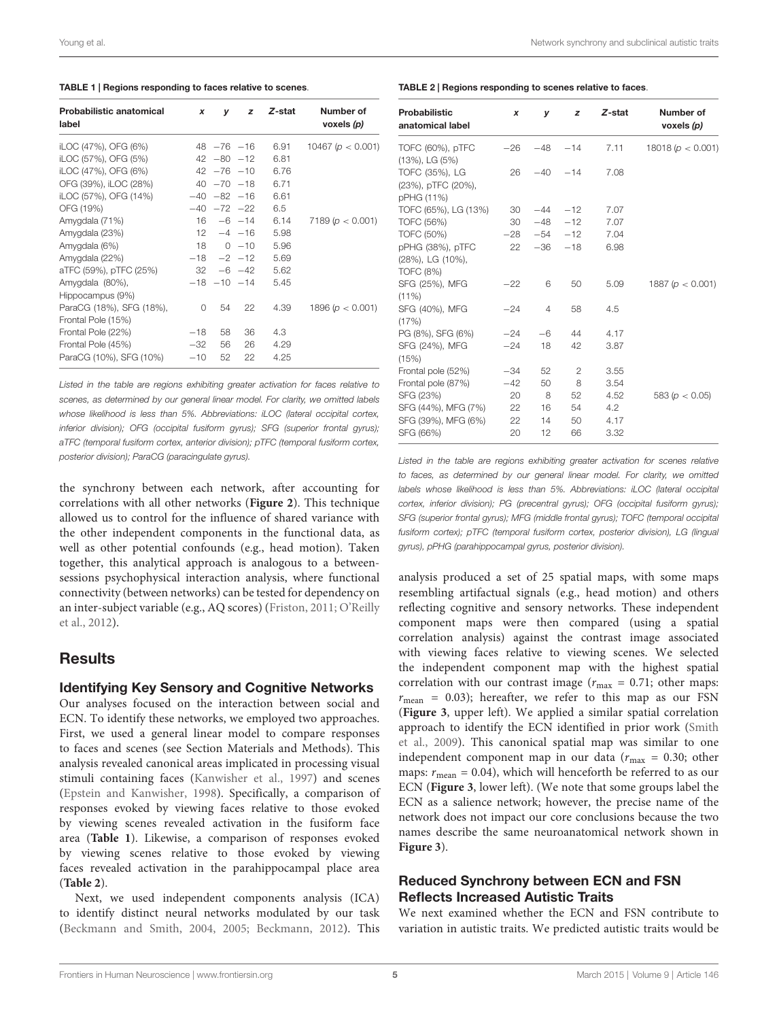<span id="page-4-0"></span>

|  | TABLE 1   Regions responding to faces relative to scenes. |
|--|-----------------------------------------------------------|
|--|-----------------------------------------------------------|

| <b>Probabilistic anatomical</b><br>label       | x        | v                | z                 | Z-stat | Number of<br>voxels (p) |
|------------------------------------------------|----------|------------------|-------------------|--------|-------------------------|
| iLOC (47%), OFG (6%)                           |          | $48 - 76 - 16$   |                   | 6.91   | 10467 ( $p < 0.001$ )   |
| iLOC (57%), OFG (5%)                           |          |                  | $42 - 80 - 12$    | 6.81   |                         |
| iLOC (47%), OFG (6%)                           |          |                  | $42 - 76 - 10$    | 6.76   |                         |
| OFG (39%), iLOC (28%)                          |          |                  | $40 - 70 - 18$    | 6.71   |                         |
| iLOC (57%), OFG (14%)                          |          | $-40 - 82 - 16$  |                   | 6.61   |                         |
| OFG (19%)                                      |          |                  | $-40$ $-72$ $-22$ | 6.5    |                         |
| Amygdala (71%)                                 |          |                  | $16 - 6 - 14$     | 6.14   | 7189(p < 0.001)         |
| Amygdala (23%)                                 |          |                  | $12 -4 -16$       | 5.98   |                         |
| Amygdala (6%)                                  |          |                  | $18 \t 0 \t -10$  | 5.96   |                         |
| Amygdala (22%)                                 |          | $-18$ $-2$ $-12$ |                   | 5.69   |                         |
| aTFC (59%), pTFC (25%)                         |          |                  | $32 - 6 - 42$     | 5.62   |                         |
| Amygdala (80%),<br>Hippocampus (9%)            |          |                  | $-18$ $-10$ $-14$ | 5.45   |                         |
| ParaCG (18%), SFG (18%),<br>Frontal Pole (15%) | $\Omega$ | 54               | 22                | 4.39   | 1896 ( $p < 0.001$ )    |
| Frontal Pole (22%)                             | $-18$    | 58               | 36                | 4.3    |                         |
| Frontal Pole (45%)                             | $-32$    | 56               | 26                | 4.29   |                         |
| ParaCG (10%), SFG (10%)                        | $-10$    | 52               | 22                | 4.25   |                         |

Listed in the table are regions exhibiting greater activation for faces relative to scenes, as determined by our general linear model. For clarity, we omitted labels whose likelihood is less than 5%. Abbreviations: iLOC (lateral occipital cortex, inferior division); OFG (occipital fusiform gyrus); SFG (superior frontal gyrus); aTFC (temporal fusiform cortex, anterior division); pTFC (temporal fusiform cortex, posterior division); ParaCG (paracingulate gyrus).

the synchrony between each network, after accounting for correlations with all other networks (**[Figure 2](#page-2-0)**). This technique allowed us to control for the influence of shared variance with the other independent components in the functional data, as well as other potential confounds (e.g., head motion). Taken together, this analytical approach is analogous to a betweensessions psychophysical interaction analysis, where functional connectivity (between networks) can be tested for dependency on an inter-subject variable (e.g., AQ scores) [\(Friston,](#page-8-22) [2011;](#page-8-22) [O'Reilly](#page-8-23) [et al.,](#page-8-23) [2012\)](#page-8-23).

# **Results**

#### Identifying Key Sensory and Cognitive Networks

Our analyses focused on the interaction between social and ECN. To identify these networks, we employed two approaches. First, we used a general linear model to compare responses to faces and scenes (see Section Materials and Methods). This analysis revealed canonical areas implicated in processing visual stimuli containing faces [\(Kanwisher et al.,](#page-8-24) [1997\)](#page-8-24) and scenes [\(Epstein and Kanwisher,](#page-8-25) [1998\)](#page-8-25). Specifically, a comparison of responses evoked by viewing faces relative to those evoked by viewing scenes revealed activation in the fusiform face area (**[Table 1](#page-4-0)**). Likewise, a comparison of responses evoked by viewing scenes relative to those evoked by viewing faces revealed activation in the parahippocampal place area (**[Table 2](#page-4-1)**).

Next, we used independent components analysis (ICA) to identify distinct neural networks modulated by our task [\(Beckmann and Smith,](#page-7-6) [2004,](#page-7-6) [2005;](#page-7-3) [Beckmann,](#page-7-8) [2012\)](#page-7-8). This <span id="page-4-1"></span>TABLE 2 | Regions responding to scenes relative to faces.

| x        | v        | z              | Z-stat                  | Number of<br>voxels (p) |
|----------|----------|----------------|-------------------------|-------------------------|
| $-26$    | $-48$    | $-14$          | 7.11                    | 18018 ( $p < 0.001$ )   |
| 26       |          | $-14$          | 7.08                    |                         |
| 30       | $-44$    | $-12$          | 7.07                    |                         |
| 30       |          | $-12$          | 7.07                    |                         |
| $-28$    |          | $-12$          | 7.04                    |                         |
| 22       | $-36$    | $-18$          | 6.98                    |                         |
| $-22$    | 6        | 50             | 5.09                    | 1887 ( $p < 0.001$ )    |
| $-24$    | 4        | 58             | 4.5                     |                         |
| $-24$    | $-6$     | 44             | 4.17                    |                         |
| $-24$    | 18       | 42             | 3.87                    |                         |
| $-34$    | 52       | $\overline{c}$ | 3.55                    |                         |
| $-42$    | 50       | 8              | 3.54                    |                         |
| 20       | - 8      | 52             | 4.52                    | 583 ( $p < 0.05$ )      |
| 22       | 16       | 54             | 4.2                     |                         |
| 22<br>20 | 14<br>12 | 50<br>66       | 4.17<br>3.32            |                         |
|          |          |                | $-40$<br>$-48$<br>$-54$ |                         |

Listed in the table are regions exhibiting greater activation for scenes relative to faces, as determined by our general linear model. For clarity, we omitted labels whose likelihood is less than 5%. Abbreviations: iLOC (lateral occipital cortex, inferior division); PG (precentral gyrus); OFG (occipital fusiform gyrus); SFG (superior frontal gyrus); MFG (middle frontal gyrus); TOFC (temporal occipital fusiform cortex); pTFC (temporal fusiform cortex, posterior division), LG (lingual gyrus), pPHG (parahippocampal gyrus, posterior division).

analysis produced a set of 25 spatial maps, with some maps resembling artifactual signals (e.g., head motion) and others reflecting cognitive and sensory networks. These independent component maps were then compared (using a spatial correlation analysis) against the contrast image associated with viewing faces relative to viewing scenes. We selected the independent component map with the highest spatial correlation with our contrast image ( $r_{\text{max}} = 0.71$ ; other maps:  $r_{\text{mean}} = 0.03$ ; hereafter, we refer to this map as our FSN (**[Figure 3](#page-5-0)**, upper left). We applied a similar spatial correlation approach to identify the ECN identified in prior work [\(Smith](#page-8-12) [et al.,](#page-8-12) [2009\)](#page-8-12). This canonical spatial map was similar to one independent component map in our data ( $r_{\text{max}} = 0.30$ ; other maps:  $r_{\text{mean}} = 0.04$ ), which will henceforth be referred to as our ECN (**[Figure 3](#page-5-0)**, lower left). (We note that some groups label the ECN as a salience network; however, the precise name of the network does not impact our core conclusions because the two names describe the same neuroanatomical network shown in **[Figure 3](#page-5-0)**).

# Reduced Synchrony between ECN and FSN Reflects Increased Autistic Traits

We next examined whether the ECN and FSN contribute to variation in autistic traits. We predicted autistic traits would be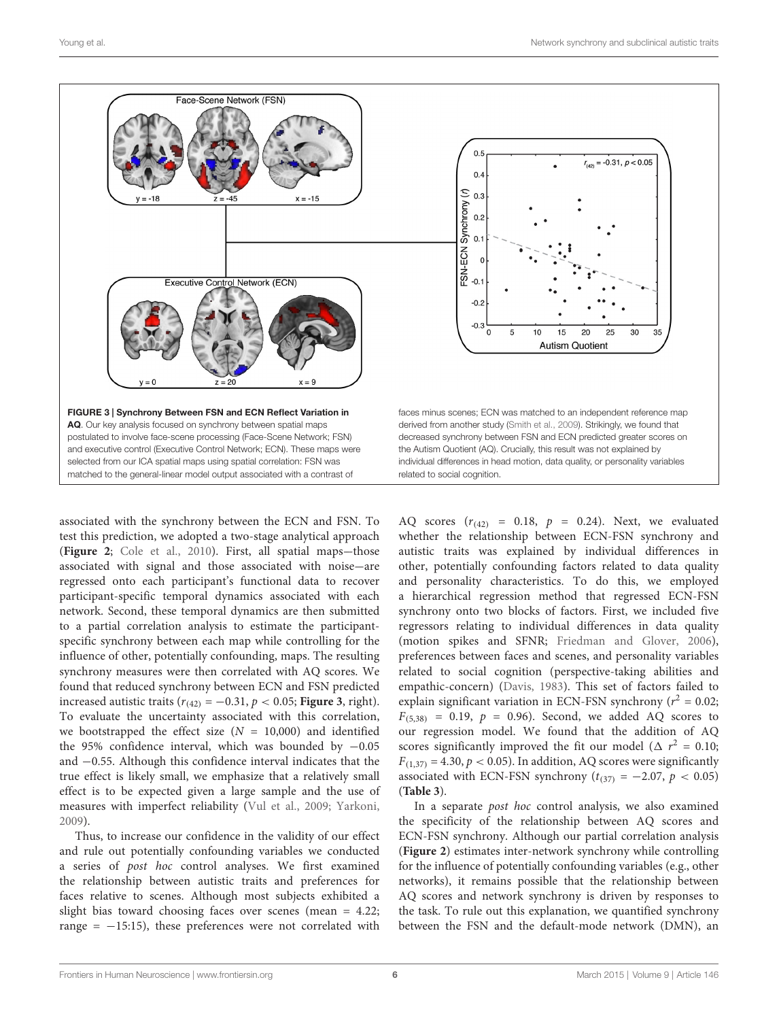

<span id="page-5-0"></span>associated with the synchrony between the ECN and FSN. To test this prediction, we adopted a two-stage analytical approach ([Figure 2](#page-2-0); [Cole et al.,](#page-7-7) [2010\)](#page-7-7). First, all spatial maps-those associated with signal and those associated with noise-are regressed onto each participant's functional data to recover participant-specific temporal dynamics associated with each network. Second, these temporal dynamics are then submitted to a partial correlation analysis to estimate the participantspecific synchrony between each map while controlling for the influence of other, potentially confounding, maps. The resulting synchrony measures were then correlated with AQ scores. We found that reduced synchrony between ECN and FSN predicted increased autistic traits  $(r_{(42)} = -0.31, p < 0.05;$  **[Figure 3](#page-5-0)**, right). To evaluate the uncertainty associated with this correlation, we bootstrapped the effect size  $(N = 10,000)$  and identified the 95% confidence interval, which was bounded by −0.05 and −0.55. Although this confidence interval indicates that the true effect is likely small, we emphasize that a relatively small effect is to be expected given a large sample and the use of measures with imperfect reliability [\(Vul et al.,](#page-9-8) [2009;](#page-9-8) [Yarkoni,](#page-9-9) [2009\)](#page-9-9).

Thus, to increase our confidence in the validity of our effect and rule out potentially confounding variables we conducted a series of post hoc control analyses. We first examined the relationship between autistic traits and preferences for faces relative to scenes. Although most subjects exhibited a slight bias toward choosing faces over scenes (mean = 4.22; range =  $-15:15$ ), these preferences were not correlated with AQ scores  $(r_{(42)} = 0.18, p = 0.24)$ . Next, we evaluated whether the relationship between ECN-FSN synchrony and autistic traits was explained by individual differences in other, potentially confounding factors related to data quality and personality characteristics. To do this, we employed a hierarchical regression method that regressed ECN-FSN synchrony onto two blocks of factors. First, we included five regressors relating to individual differences in data quality (motion spikes and SFNR; [Friedman and Glover,](#page-8-18) [2006\)](#page-8-18), preferences between faces and scenes, and personality variables related to social cognition (perspective-taking abilities and empathic-concern) [\(Davis,](#page-8-14) [1983\)](#page-8-14). This set of factors failed to explain significant variation in ECN-FSN synchrony ( $r^2 = 0.02$ ;  $F_{(5,38)} = 0.19$ ,  $p = 0.96$ ). Second, we added AQ scores to our regression model. We found that the addition of AQ scores significantly improved the fit our model ( $\Delta r^2 = 0.10$ ;  $F_{(1,37)} = 4.30, p < 0.05$ ). In addition, AQ scores were significantly associated with ECN-FSN synchrony ( $t_{(37)} = -2.07$ ,  $p < 0.05$ ) (**[Table 3](#page-6-0)**).

In a separate post hoc control analysis, we also examined the specificity of the relationship between AQ scores and ECN-FSN synchrony. Although our partial correlation analysis (**[Figure 2](#page-2-0)**) estimates inter-network synchrony while controlling for the influence of potentially confounding variables (e.g., other networks), it remains possible that the relationship between AQ scores and network synchrony is driven by responses to the task. To rule out this explanation, we quantified synchrony between the FSN and the default-mode network (DMN), an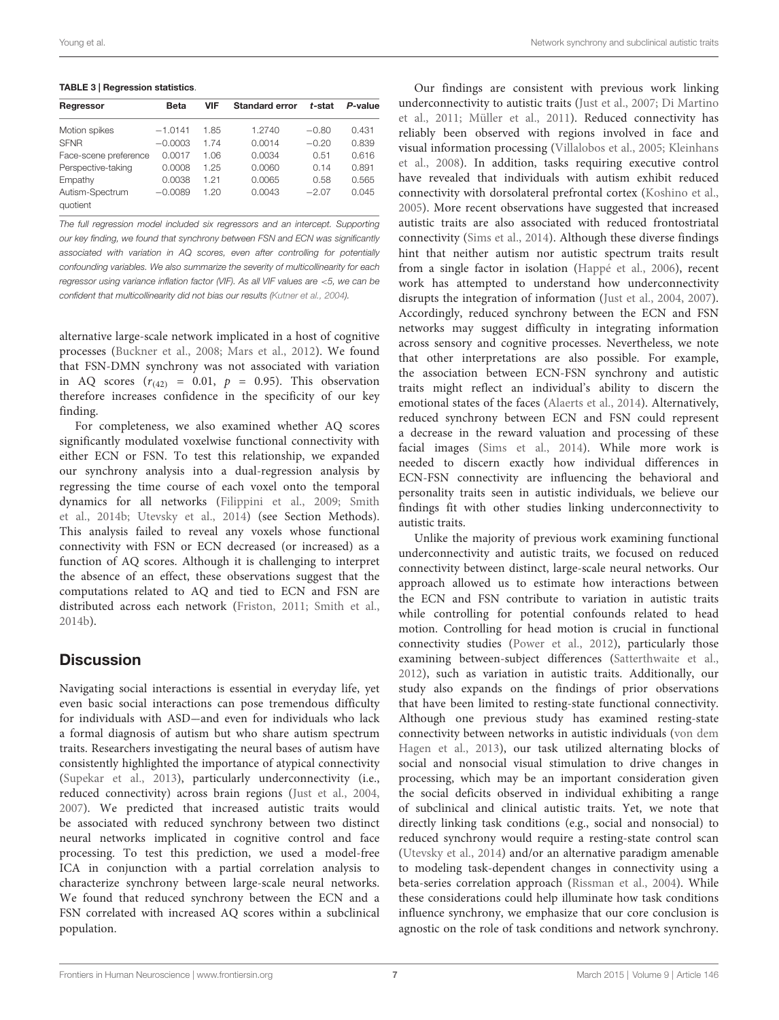<span id="page-6-0"></span>TABLE 3 | Regression statistics.

| Regressor                   | Beta      | <b>VIF</b> | <b>Standard error</b> | t-stat  | P-value |
|-----------------------------|-----------|------------|-----------------------|---------|---------|
| Motion spikes               | $-1.0141$ | 1.85       | 1.2740                | $-0.80$ | 0.431   |
| <b>SFNR</b>                 | $-0.0003$ | 1.74       | 0.0014                | $-0.20$ | 0.839   |
| Face-scene preference       | 0.0017    | 1.06       | 0.0034                | 0.51    | 0.616   |
| Perspective-taking          | 0.0008    | 1.25       | 0.0060                | 0.14    | 0.891   |
| Empathy                     | 0.0038    | 1 21       | 0.0065                | 0.58    | 0.565   |
| Autism-Spectrum<br>auotient | $-0.0089$ | 1.20       | 0.0043                | $-2.07$ | 0.045   |

The full regression model included six regressors and an intercept. Supporting our key finding, we found that synchrony between FSN and ECN was significantly associated with variation in AQ scores, even after controlling for potentially confounding variables. We also summarize the severity of multicollinearity for each regressor using variance inflation factor (VIF). As all VIF values are <5, we can be confident that multicollinearity did not bias our results [\(Kutner et al.,](#page-8-26) [2004\)](#page-8-26).

alternative large-scale network implicated in a host of cognitive processes [\(Buckner et al.,](#page-7-9) [2008;](#page-7-9) [Mars et al.,](#page-8-27) [2012\)](#page-8-27). We found that FSN-DMN synchrony was not associated with variation in AQ scores  $(r_{(42)} = 0.01, p = 0.95)$ . This observation therefore increases confidence in the specificity of our key finding.

For completeness, we also examined whether AQ scores significantly modulated voxelwise functional connectivity with either ECN or FSN. To test this relationship, we expanded our synchrony analysis into a dual-regression analysis by regressing the time course of each voxel onto the temporal dynamics for all networks [\(Filippini et al.,](#page-8-20) [2009;](#page-8-20) [Smith](#page-9-6) [et al.,](#page-9-6) [2014b;](#page-9-6) [Utevsky et al.,](#page-9-7) [2014\)](#page-9-7) (see Section Methods). This analysis failed to reveal any voxels whose functional connectivity with FSN or ECN decreased (or increased) as a function of AQ scores. Although it is challenging to interpret the absence of an effect, these observations suggest that the computations related to AQ and tied to ECN and FSN are distributed across each network [\(Friston,](#page-8-22) [2011;](#page-8-22) [Smith et al.,](#page-9-6) [2014b\)](#page-9-6).

# **Discussion**

Navigating social interactions is essential in everyday life, yet even basic social interactions can pose tremendous difficulty for individuals with ASD-and even for individuals who lack a formal diagnosis of autism but who share autism spectrum traits. Researchers investigating the neural bases of autism have consistently highlighted the importance of atypical connectivity [\(Supekar et al.,](#page-9-10) [2013\)](#page-9-10), particularly underconnectivity (i.e., reduced connectivity) across brain regions [\(Just et al.,](#page-8-9) [2004,](#page-8-9) [2007\)](#page-8-10). We predicted that increased autistic traits would be associated with reduced synchrony between two distinct neural networks implicated in cognitive control and face processing. To test this prediction, we used a model-free ICA in conjunction with a partial correlation analysis to characterize synchrony between large-scale neural networks. We found that reduced synchrony between the ECN and a FSN correlated with increased AQ scores within a subclinical population.

Our findings are consistent with previous work linking underconnectivity to autistic traits [\(Just et al.,](#page-8-10) [2007;](#page-8-10) [Di Martino](#page-8-28) [et al.,](#page-8-28) [2011;](#page-8-28) [Müller et al.,](#page-8-29) [2011\)](#page-8-29). Reduced connectivity has reliably been observed with regions involved in face and visual information processing [\(Villalobos et al.,](#page-9-11) [2005;](#page-9-11) [Kleinhans](#page-8-30) [et al.,](#page-8-30) [2008\)](#page-8-30). In addition, tasks requiring executive control have revealed that individuals with autism exhibit reduced connectivity with dorsolateral prefrontal cortex [\(Koshino et al.,](#page-8-31) [2005\)](#page-8-31). More recent observations have suggested that increased autistic traits are also associated with reduced frontostriatal connectivity [\(Sims et al.,](#page-8-32) [2014\)](#page-8-32). Although these diverse findings hint that neither autism nor autistic spectrum traits result from a single factor in isolation [\(Happé et al.,](#page-8-33) [2006\)](#page-8-33), recent work has attempted to understand how underconnectivity disrupts the integration of information [\(Just et al.,](#page-8-9) [2004,](#page-8-9) [2007\)](#page-8-10). Accordingly, reduced synchrony between the ECN and FSN networks may suggest difficulty in integrating information across sensory and cognitive processes. Nevertheless, we note that other interpretations are also possible. For example, the association between ECN-FSN synchrony and autistic traits might reflect an individual's ability to discern the emotional states of the faces [\(Alaerts et al.,](#page-7-10) [2014\)](#page-7-10). Alternatively, reduced synchrony between ECN and FSN could represent a decrease in the reward valuation and processing of these facial images [\(Sims et al.,](#page-8-32) [2014\)](#page-8-32). While more work is needed to discern exactly how individual differences in ECN-FSN connectivity are influencing the behavioral and personality traits seen in autistic individuals, we believe our findings fit with other studies linking underconnectivity to autistic traits.

Unlike the majority of previous work examining functional underconnectivity and autistic traits, we focused on reduced connectivity between distinct, large-scale neural networks. Our approach allowed us to estimate how interactions between the ECN and FSN contribute to variation in autistic traits while controlling for potential confounds related to head motion. Controlling for head motion is crucial in functional connectivity studies [\(Power et al.,](#page-8-34) [2012\)](#page-8-34), particularly those examining between-subject differences [\(Satterthwaite et al.,](#page-8-35) [2012\)](#page-8-35), such as variation in autistic traits. Additionally, our study also expands on the findings of prior observations that have been limited to resting-state functional connectivity. Although one previous study has examined resting-state connectivity between networks in autistic individuals [\(von dem](#page-9-3) [Hagen et al.,](#page-9-3) [2013\)](#page-9-3), our task utilized alternating blocks of social and nonsocial visual stimulation to drive changes in processing, which may be an important consideration given the social deficits observed in individual exhibiting a range of subclinical and clinical autistic traits. Yet, we note that directly linking task conditions (e.g., social and nonsocial) to reduced synchrony would require a resting-state control scan [\(Utevsky et al.,](#page-9-7) [2014\)](#page-9-7) and/or an alternative paradigm amenable to modeling task-dependent changes in connectivity using a beta-series correlation approach [\(Rissman et al.,](#page-8-36) [2004\)](#page-8-36). While these considerations could help illuminate how task conditions influence synchrony, we emphasize that our core conclusion is agnostic on the role of task conditions and network synchrony.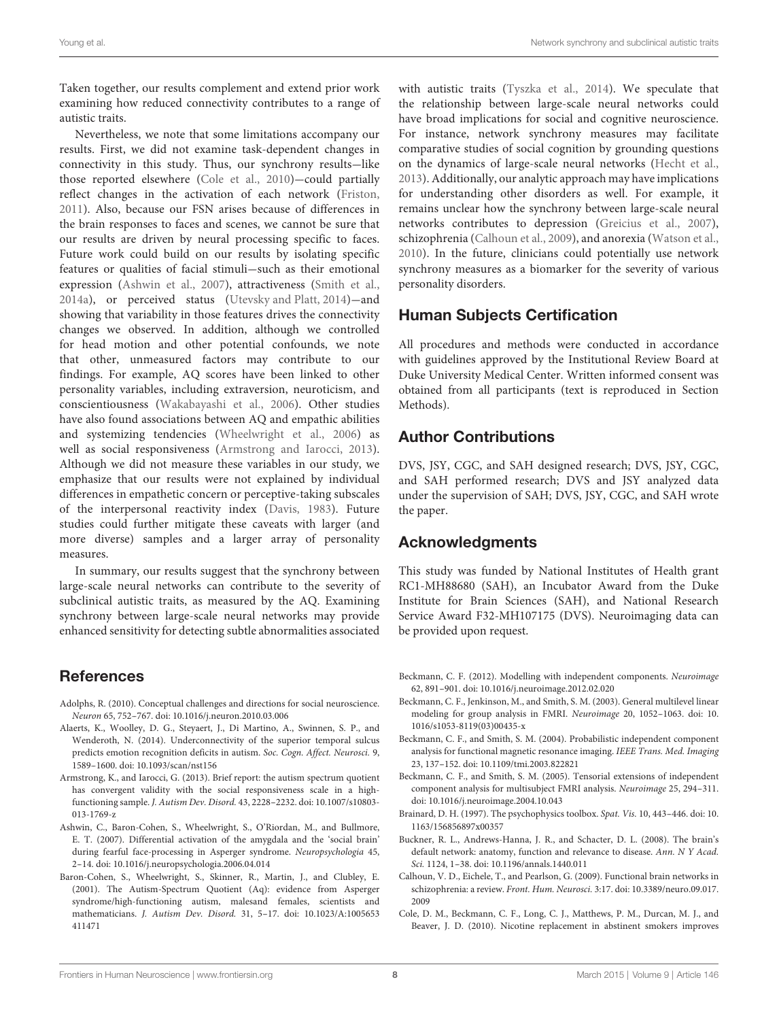Taken together, our results complement and extend prior work examining how reduced connectivity contributes to a range of autistic traits.

Nevertheless, we note that some limitations accompany our results. First, we did not examine task-dependent changes in connectivity in this study. Thus, our synchrony results-like those reported elsewhere [\(Cole et al.,](#page-7-7) [2010\)](#page-7-7)-could partially reflect changes in the activation of each network [\(Friston,](#page-8-22) [2011\)](#page-8-22). Also, because our FSN arises because of differences in the brain responses to faces and scenes, we cannot be sure that our results are driven by neural processing specific to faces. Future work could build on our results by isolating specific features or qualities of facial stimuli-such as their emotional expression [\(Ashwin et al.,](#page-7-2) [2007\)](#page-7-2), attractiveness [\(Smith et al.,](#page-8-37) [2014a\)](#page-8-37), or perceived status [\(Utevsky and Platt,](#page-9-12) [2014\)](#page-9-12)-and showing that variability in those features drives the connectivity changes we observed. In addition, although we controlled for head motion and other potential confounds, we note that other, unmeasured factors may contribute to our findings. For example, AQ scores have been linked to other personality variables, including extraversion, neuroticism, and conscientiousness [\(Wakabayashi et al.,](#page-9-13) [2006\)](#page-9-13). Other studies have also found associations between AQ and empathic abilities and systemizing tendencies [\(Wheelwright et al.,](#page-9-14) [2006\)](#page-9-14) as well as social responsiveness [\(Armstrong and Iarocci,](#page-7-11) [2013\)](#page-7-11). Although we did not measure these variables in our study, we emphasize that our results were not explained by individual differences in empathetic concern or perceptive-taking subscales of the interpersonal reactivity index [\(Davis,](#page-8-14) [1983\)](#page-8-14). Future studies could further mitigate these caveats with larger (and more diverse) samples and a larger array of personality measures.

In summary, our results suggest that the synchrony between large-scale neural networks can contribute to the severity of subclinical autistic traits, as measured by the AQ. Examining synchrony between large-scale neural networks may provide enhanced sensitivity for detecting subtle abnormalities associated

#### References

- <span id="page-7-1"></span>Adolphs, R. (2010). Conceptual challenges and directions for social neuroscience. Neuron 65, 752-767. doi: 10.1016/j.neuron.2010.03.006
- <span id="page-7-10"></span>Alaerts, K., Woolley, D. G., Steyaert, J., Di Martino, A., Swinnen, S. P., and Wenderoth, N. (2014). Underconnectivity of the superior temporal sulcus predicts emotion recognition deficits in autism. Soc. Cogn. Affect. Neurosci. 9, 1589--1600. doi: 10.1093/scan/nst156
- <span id="page-7-11"></span>Armstrong, K., and Iarocci, G. (2013). Brief report: the autism spectrum quotient has convergent validity with the social responsiveness scale in a highfunctioning sample. J. Autism Dev. Disord. 43, 2228--2232. doi: 10.1007/s10803- 013-1769-z
- <span id="page-7-2"></span>Ashwin, C., Baron-Cohen, S., Wheelwright, S., O'Riordan, M., and Bullmore, E. T. (2007). Differential activation of the amygdala and the 'social brain' during fearful face-processing in Asperger syndrome. Neuropsychologia 45, 2--14. doi: 10.1016/j.neuropsychologia.2006.04.014
- <span id="page-7-0"></span>Baron-Cohen, S., Wheelwright, S., Skinner, R., Martin, J., and Clubley, E. (2001). The Autism-Spectrum Quotient (Aq): evidence from Asperger syndrome/high-functioning autism, malesand females, scientists and mathematicians. J. Autism Dev. Disord. 31, 5--17. doi: 10.1023/A:1005653 411471

with autistic traits [\(Tyszka et al.,](#page-9-15) [2014\)](#page-9-15). We speculate that the relationship between large-scale neural networks could have broad implications for social and cognitive neuroscience. For instance, network synchrony measures may facilitate comparative studies of social cognition by grounding questions on the dynamics of large-scale neural networks [\(Hecht et al.,](#page-8-38) [2013\)](#page-8-38). Additionally, our analytic approach may have implications for understanding other disorders as well. For example, it remains unclear how the synchrony between large-scale neural networks contributes to depression [\(Greicius et al.,](#page-8-39) [2007\)](#page-8-39), schizophrenia [\(Calhoun et al.,](#page-7-12) [2009\)](#page-7-12), and anorexia [\(Watson et al.,](#page-9-16) [2010\)](#page-9-16). In the future, clinicians could potentially use network synchrony measures as a biomarker for the severity of various personality disorders.

# Human Subjects Certification

All procedures and methods were conducted in accordance with guidelines approved by the Institutional Review Board at Duke University Medical Center. Written informed consent was obtained from all participants (text is reproduced in Section Methods).

# Author Contributions

DVS, JSY, CGC, and SAH designed research; DVS, JSY, CGC, and SAH performed research; DVS and JSY analyzed data under the supervision of SAH; DVS, JSY, CGC, and SAH wrote the paper.

## Acknowledgments

This study was funded by National Institutes of Health grant RC1-MH88680 (SAH), an Incubator Award from the Duke Institute for Brain Sciences (SAH), and National Research Service Award F32-MH107175 (DVS). Neuroimaging data can be provided upon request.

- <span id="page-7-8"></span>Beckmann, C. F. (2012). Modelling with independent components. Neuroimage 62, 891-901. doi: 10.1016/j.neuroimage.2012.02.020
- <span id="page-7-5"></span>Beckmann, C. F., Jenkinson, M., and Smith, S. M. (2003). General multilevel linear modeling for group analysis in FMRI. Neuroimage 20, 1052-1063. doi: 10. 1016/s1053-8119(03)00435-x
- <span id="page-7-6"></span>Beckmann, C. F., and Smith, S. M. (2004). Probabilistic independent component analysis for functional magnetic resonance imaging. IEEE Trans. Med. Imaging 23, 137--152. doi: 10.1109/tmi.2003.822821
- <span id="page-7-3"></span>Beckmann, C. F., and Smith, S. M. (2005). Tensorial extensions of independent component analysis for multisubject FMRI analysis. Neuroimage 25, 294-311. doi: 10.1016/j.neuroimage.2004.10.043
- <span id="page-7-4"></span>Brainard, D. H. (1997). The psychophysics toolbox. Spat. Vis. 10, 443--446. doi: 10. 1163/156856897x00357
- <span id="page-7-9"></span>Buckner, R. L., Andrews-Hanna, J. R., and Schacter, D. L. (2008). The brain's default network: anatomy, function and relevance to disease. Ann. N Y Acad. Sci. 1124, 1-38. doi: 10.1196/annals.1440.011
- <span id="page-7-12"></span>Calhoun, V. D., Eichele, T., and Pearlson, G. (2009). Functional brain networks in schizophrenia: a review. Front. Hum. Neurosci. 3:17. doi: 10.3389/neuro.09.017. 2009
- <span id="page-7-7"></span>Cole, D. M., Beckmann, C. F., Long, C. J., Matthews, P. M., Durcan, M. J., and Beaver, J. D. (2010). Nicotine replacement in abstinent smokers improves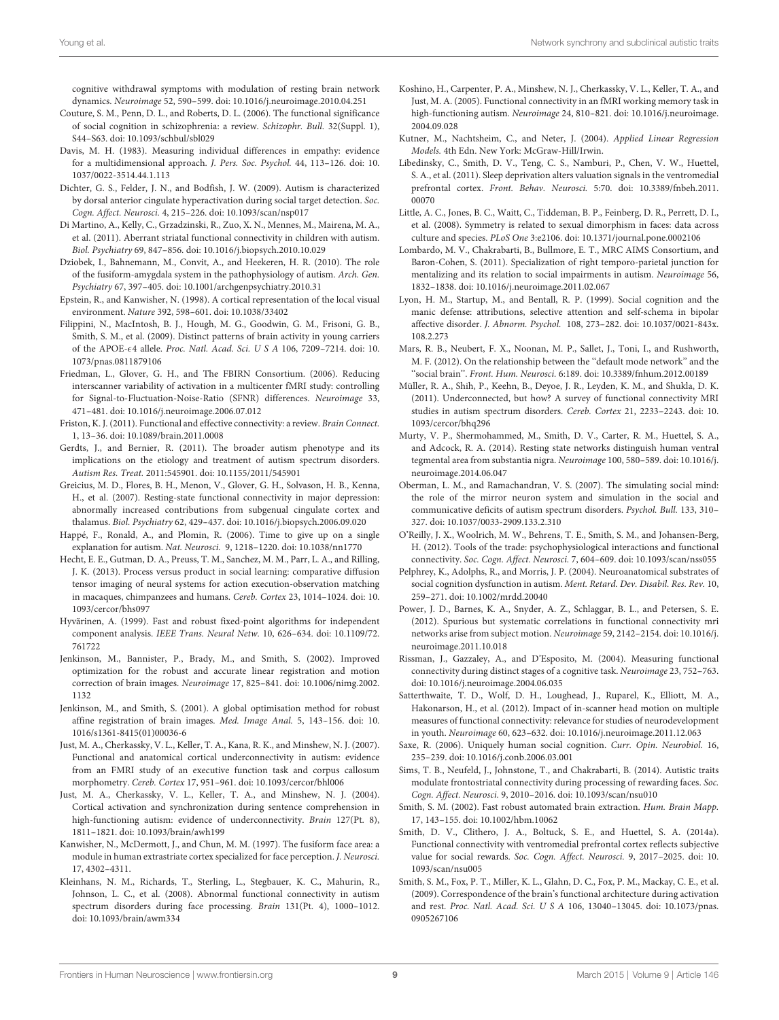cognitive withdrawal symptoms with modulation of resting brain network dynamics. Neuroimage 52, 590--599. doi: 10.1016/j.neuroimage.2010.04.251

- <span id="page-8-2"></span>Couture, S. M., Penn, D. L., and Roberts, D. L. (2006). The functional significance of social cognition in schizophrenia: a review. Schizophr. Bull. 32(Suppl. 1), S44-S63. doi: 10.1093/schbul/sbl029
- <span id="page-8-14"></span>Davis, M. H. (1983). Measuring individual differences in empathy: evidence for a multidimensional approach. J. Pers. Soc. Psychol. 44, 113-126. doi: 10. 1037/0022-3514.44.1.113
- <span id="page-8-7"></span>Dichter, G. S., Felder, J. N., and Bodfish, J. W. (2009). Autism is characterized by dorsal anterior cingulate hyperactivation during social target detection. Soc. Cogn. Affect. Neurosci. 4, 215-226. doi: 10.1093/scan/nsp017
- <span id="page-8-28"></span>Di Martino, A., Kelly, C., Grzadzinski, R., Zuo, X. N., Mennes, M., Mairena, M. A., et al. (2011). Aberrant striatal functional connectivity in children with autism. Biol. Psychiatry 69, 847-856. doi: 10.1016/j.biopsych.2010.10.029
- <span id="page-8-6"></span>Dziobek, I., Bahnemann, M., Convit, A., and Heekeren, H. R. (2010). The role of the fusiform-amygdala system in the pathophysiology of autism. Arch. Gen. Psychiatry 67, 397-405. doi: 10.1001/archgenpsychiatry.2010.31
- <span id="page-8-25"></span>Epstein, R., and Kanwisher, N. (1998). A cortical representation of the local visual environment. Nature 392, 598-601. doi: 10.1038/33402
- <span id="page-8-20"></span>Filippini, N., MacIntosh, B. J., Hough, M. G., Goodwin, G. M., Frisoni, G. B., Smith, S. M., et al. (2009). Distinct patterns of brain activity in young carriers of the APOE-4 allele. Proc. Natl. Acad. Sci. U S A 106, 7209--7214. doi: 10. 1073/pnas.0811879106
- <span id="page-8-18"></span>Friedman, L., Glover, G. H., and The FBIRN Consortium. (2006). Reducing interscanner variability of activation in a multicenter fMRI study: controlling for Signal-to-Fluctuation-Noise-Ratio (SFNR) differences. Neuroimage 33, 471--481. doi: 10.1016/j.neuroimage.2006.07.012
- <span id="page-8-22"></span>Friston, K. J. (2011). Functional and effective connectivity: a review. Brain Connect. 1, 13--36. doi: 10.1089/brain.2011.0008
- <span id="page-8-5"></span>Gerdts, J., and Bernier, R. (2011). The broader autism phenotype and its implications on the etiology and treatment of autism spectrum disorders. Autism Res. Treat. 2011:545901. doi: 10.1155/2011/545901
- <span id="page-8-39"></span>Greicius, M. D., Flores, B. H., Menon, V., Glover, G. H., Solvason, H. B., Kenna, H., et al. (2007). Resting-state functional connectivity in major depression: abnormally increased contributions from subgenual cingulate cortex and thalamus. Biol. Psychiatry 62, 429--437. doi: 10.1016/j.biopsych.2006.09.020
- <span id="page-8-33"></span>Happé, F., Ronald, A., and Plomin, R. (2006). Time to give up on a single explanation for autism. Nat. Neurosci. 9, 1218-1220. doi: 10.1038/nn1770
- <span id="page-8-38"></span>Hecht, E. E., Gutman, D. A., Preuss, T. M., Sanchez, M. M., Parr, L. A., and Rilling, J. K. (2013). Process versus product in social learning: comparative diffusion tensor imaging of neural systems for action execution-observation matching in macaques, chimpanzees and humans. Cereb. Cortex 23, 1014-1024. doi: 10. 1093/cercor/bhs097
- <span id="page-8-19"></span>Hyvärinen, A. (1999). Fast and robust fixed-point algorithms for independent component analysis. IEEE Trans. Neural Netw. 10, 626-634. doi: 10.1109/72. 761722
- <span id="page-8-15"></span>Jenkinson, M., Bannister, P., Brady, M., and Smith, S. (2002). Improved optimization for the robust and accurate linear registration and motion correction of brain images. Neuroimage 17, 825-841. doi: 10.1006/nimg.2002. 1132
- <span id="page-8-17"></span>Jenkinson, M., and Smith, S. (2001). A global optimisation method for robust affine registration of brain images. Med. Image Anal. 5, 143--156. doi: 10. 1016/s1361-8415(01)00036-6
- <span id="page-8-10"></span>Just, M. A., Cherkassky, V. L., Keller, T. A., Kana, R. K., and Minshew, N. J. (2007). Functional and anatomical cortical underconnectivity in autism: evidence from an FMRI study of an executive function task and corpus callosum morphometry. Cereb. Cortex 17, 951-961. doi: 10.1093/cercor/bhl006
- <span id="page-8-9"></span>Just, M. A., Cherkassky, V. L., Keller, T. A., and Minshew, N. J. (2004). Cortical activation and synchronization during sentence comprehension in high-functioning autism: evidence of underconnectivity. Brain 127(Pt. 8), 1811--1821. doi: 10.1093/brain/awh199
- <span id="page-8-24"></span>Kanwisher, N., McDermott, J., and Chun, M. M. (1997). The fusiform face area: a module in human extrastriate cortex specialized for face perception. J. Neurosci. 17, 4302-4311.
- <span id="page-8-30"></span>Kleinhans, N. M., Richards, T., Sterling, L., Stegbauer, K. C., Mahurin, R., Johnson, L. C., et al. (2008). Abnormal functional connectivity in autism spectrum disorders during face processing. Brain 131(Pt. 4), 1000-1012. doi: 10.1093/brain/awm334
- <span id="page-8-31"></span>Koshino, H., Carpenter, P. A., Minshew, N. J., Cherkassky, V. L., Keller, T. A., and Just, M. A. (2005). Functional connectivity in an fMRI working memory task in high-functioning autism. Neuroimage 24, 810-821. doi: 10.1016/j.neuroimage. 2004.09.028
- <span id="page-8-26"></span>Kutner, M., Nachtsheim, C., and Neter, J. (2004). Applied Linear Regression Models. 4th Edn. New York: McGraw-Hill/Irwin.
- <span id="page-8-13"></span>Libedinsky, C., Smith, D. V., Teng, C. S., Namburi, P., Chen, V. W., Huettel, S. A., et al. (2011). Sleep deprivation alters valuation signals in the ventromedial prefrontal cortex. Front. Behav. Neurosci. 5:70. doi: 10.3389/fnbeh.2011. 00070
- <span id="page-8-11"></span>Little, A. C., Jones, B. C., Waitt, C., Tiddeman, B. P., Feinberg, D. R., Perrett, D. I., et al. (2008). Symmetry is related to sexual dimorphism in faces: data across culture and species. PLoS One 3:e2106. doi: 10.1371/journal.pone.0002106
- <span id="page-8-8"></span>Lombardo, M. V., Chakrabarti, B., Bullmore, E. T., MRC AIMS Consortium, and Baron-Cohen, S. (2011). Specialization of right temporo-parietal junction for mentalizing and its relation to social impairments in autism. Neuroimage 56, 1832--1838. doi: 10.1016/j.neuroimage.2011.02.067
- <span id="page-8-1"></span>Lyon, H. M., Startup, M., and Bentall, R. P. (1999). Social cognition and the manic defense: attributions, selective attention and self-schema in bipolar affective disorder. J. Abnorm. Psychol. 108, 273--282. doi: 10.1037/0021-843x. 108.2.273
- <span id="page-8-27"></span>Mars, R. B., Neubert, F. X., Noonan, M. P., Sallet, J., Toni, I., and Rushworth, M. F. (2012). On the relationship between the ''default mode network'' and the ''social brain''. Front. Hum. Neurosci. 6:189. doi: 10.3389/fnhum.2012.00189
- <span id="page-8-29"></span>Müller, R. A., Shih, P., Keehn, B., Deyoe, J. R., Leyden, K. M., and Shukla, D. K. (2011). Underconnected, but how? A survey of functional connectivity MRI studies in autism spectrum disorders. Cereb. Cortex 21, 2233-2243. doi: 10. 1093/cercor/bhq296
- <span id="page-8-21"></span>Murty, V. P., Shermohammed, M., Smith, D. V., Carter, R. M., Huettel, S. A., and Adcock, R. A. (2014). Resting state networks distinguish human ventral tegmental area from substantia nigra. Neuroimage 100, 580-589. doi: 10.1016/j. neuroimage.2014.06.047
- <span id="page-8-4"></span>Oberman, L. M., and Ramachandran, V. S. (2007). The simulating social mind: the role of the mirror neuron system and simulation in the social and communicative deficits of autism spectrum disorders. Psychol. Bull. 133, 310-327. doi: 10.1037/0033-2909.133.2.310
- <span id="page-8-23"></span>O'Reilly, J. X., Woolrich, M. W., Behrens, T. E., Smith, S. M., and Johansen-Berg, H. (2012). Tools of the trade: psychophysiological interactions and functional connectivity. Soc. Cogn. Affect. Neurosci. 7, 604-609. doi: 10.1093/scan/nss055
- <span id="page-8-3"></span>Pelphrey, K., Adolphs, R., and Morris, J. P. (2004). Neuroanatomical substrates of social cognition dysfunction in autism. Ment. Retard. Dev. Disabil. Res. Rev. 10, 259--271. doi: 10.1002/mrdd.20040
- <span id="page-8-34"></span>Power, J. D., Barnes, K. A., Snyder, A. Z., Schlaggar, B. L., and Petersen, S. E. (2012). Spurious but systematic correlations in functional connectivity mri networks arise from subject motion. Neuroimage 59, 2142-2154. doi: 10.1016/j. neuroimage.2011.10.018
- <span id="page-8-36"></span>Rissman, J., Gazzaley, A., and D'Esposito, M. (2004). Measuring functional connectivity during distinct stages of a cognitive task. Neuroimage 23, 752-763. doi: 10.1016/j.neuroimage.2004.06.035
- <span id="page-8-35"></span>Satterthwaite, T. D., Wolf, D. H., Loughead, J., Ruparel, K., Elliott, M. A., Hakonarson, H., et al. (2012). Impact of in-scanner head motion on multiple measures of functional connectivity: relevance for studies of neurodevelopment in youth. Neuroimage 60, 623-632. doi: 10.1016/j.neuroimage.2011.12.063
- <span id="page-8-0"></span>Saxe, R. (2006). Uniquely human social cognition. Curr. Opin. Neurobiol. 16, 235--239. doi: 10.1016/j.conb.2006.03.001
- <span id="page-8-32"></span>Sims, T. B., Neufeld, J., Johnstone, T., and Chakrabarti, B. (2014). Autistic traits modulate frontostriatal connectivity during processing of rewarding faces. Soc. Cogn. Affect. Neurosci. 9, 2010-2016. doi: 10.1093/scan/nsu010
- <span id="page-8-16"></span>Smith, S. M. (2002). Fast robust automated brain extraction. Hum. Brain Mapp. 17, 143--155. doi: 10.1002/hbm.10062
- <span id="page-8-37"></span>Smith, D. V., Clithero, J. A., Boltuck, S. E., and Huettel, S. A. (2014a). Functional connectivity with ventromedial prefrontal cortex reflects subjective value for social rewards. Soc. Cogn. Affect. Neurosci. 9, 2017-2025. doi: 10. 1093/scan/nsu005
- <span id="page-8-12"></span>Smith, S. M., Fox, P. T., Miller, K. L., Glahn, D. C., Fox, P. M., Mackay, C. E., et al. (2009). Correspondence of the brain's functional architecture during activation and rest. Proc. Natl. Acad. Sci. U S A 106, 13040-13045. doi: 10.1073/pnas. 0905267106